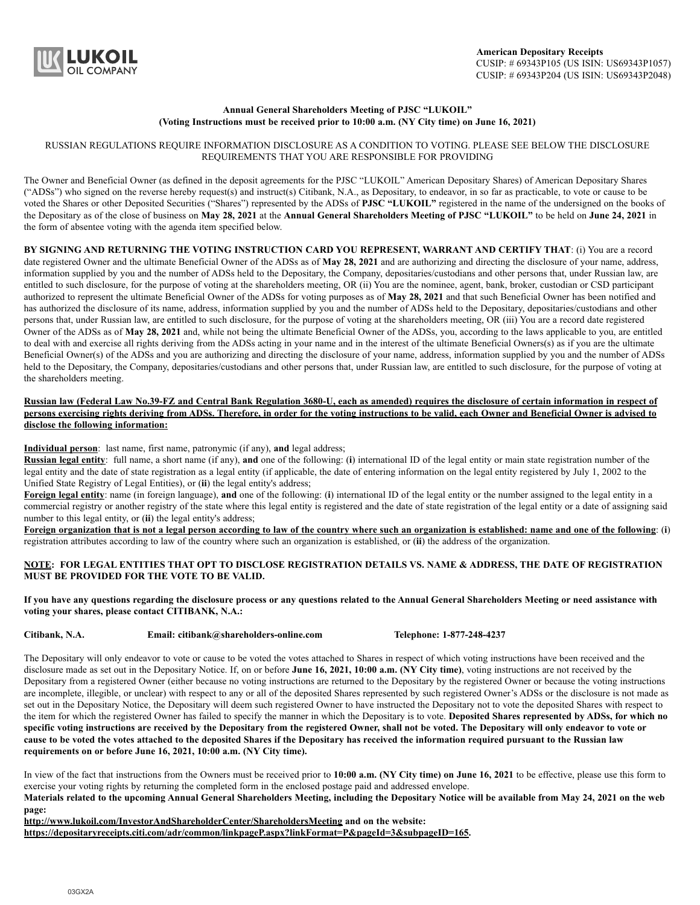

## **Annual General Shareholders Meeting of PJSC "LUKOIL" (Voting Instructions must be received prior to 10:00 a.m. (NY City time) on June 16, 2021)**

## RUSSIAN REGULATIONS REQUIRE INFORMATION DISCLOSURE AS A CONDITION TO VOTING. PLEASE SEE BELOW THE DISCLOSURE REQUIREMENTS THAT YOU ARE RESPONSIBLE FOR PROVIDING

The Owner and Beneficial Owner (as defined in the deposit agreements for the PJSC "LUKOIL" American Depositary Shares) of American Depositary Shares ("ADSs") who signed on the reverse hereby request(s) and instruct(s) Citibank, N.A., as Depositary, to endeavor, in so far as practicable, to vote or cause to be voted the Shares or other Deposited Securities ("Shares") represented by the ADSs of **PJSC "LUKOIL"** registered in the name of the undersigned on the books of the Depositary as of the close of business on **May 28, 2021** at the **Annual General Shareholders Meeting of PJSC "LUKOIL"** to be held on **June 24, 2021** in the form of absentee voting with the agenda item specified below.

**BY SIGNING AND RETURNING THE VOTING INSTRUCTION CARD YOU REPRESENT, WARRANT AND CERTIFY THAT**: (i) You are a record date registered Owner and the ultimate Beneficial Owner of the ADSs as of **May 28, 2021** and are authorizing and directing the disclosure of your name, address, information supplied by you and the number of ADSs held to the Depositary, the Company, depositaries/custodians and other persons that, under Russian law, are entitled to such disclosure, for the purpose of voting at the shareholders meeting, OR (ii) You are the nominee, agent, bank, broker, custodian or CSD participant authorized to represent the ultimate Beneficial Owner of the ADSs for voting purposes as of **May 28, 2021** and that such Beneficial Owner has been notified and has authorized the disclosure of its name, address, information supplied by you and the number of ADSs held to the Depositary, depositaries/custodians and other persons that, under Russian law, are entitled to such disclosure, for the purpose of voting at the shareholders meeting, OR (iii) You are a record date registered Owner of the ADSs as of May 28, 2021 and, while not being the ultimate Beneficial Owner of the ADSs, you, according to the laws applicable to you, are entitled to deal with and exercise all rights deriving from the ADSs acting in your name and in the interest of the ultimate Beneficial Owners(s) as if you are the ultimate Beneficial Owner(s) of the ADSs and you are authorizing and directing the disclosure of your name, address, information supplied by you and the number of ADSs held to the Depositary, the Company, depositaries/custodians and other persons that, under Russian law, are entitled to such disclosure, for the purpose of voting at the shareholders meeting.

## **Russian law (Federal Law No.39-FZ and Central Bank Regulation 3680-U, each as amended) requires the disclosure of certain information in respect of persons exercising rights deriving from ADSs. Therefore, in order for the voting instructions to be valid, each Owner and Beneficial Owner is advised to disclose the following information:**

**Individual person**: last name, first name, patronymic (if any), **and** legal address;

**Russian legal entity**: full name, a short name (if any), **and** one of the following: (**i**) international ID of the legal entity or main state registration number of the legal entity and the date of state registration as a legal entity (if applicable, the date of entering information on the legal entity registered by July 1, 2002 to the Unified State Registry of Legal Entities), or (**ii**) the legal entity's address;

**Foreign legal entity**: name (in foreign language), **and** one of the following: (**i**) international ID of the legal entity or the number assigned to the legal entity in a commercial registry or another registry of the state where this legal entity is registered and the date of state registration of the legal entity or a date of assigning said number to this legal entity, or (**ii**) the legal entity's address;

**Foreign organization that is not a legal person according to law of the country where such an organization is established: name and one of the following**: (**i**) registration attributes according to law of the country where such an organization is established, or (**ii**) the address of the organization.

**NOTE: FOR LEGAL ENTITIES THAT OPT TO DISCLOSE REGISTRATION DETAILS VS. NAME & ADDRESS, THE DATE OF REGISTRATION MUST BE PROVIDED FOR THE VOTE TO BE VALID.**

**If you have any questions regarding the disclosure process or any questions related to the Annual General Shareholders Meeting or need assistance with voting your shares, please contact CITIBANK, N.A.:**

**Citibank, N.A. Email: citibank@shareholders-online.com Telephone: 1-877-248-4237**

The Depositary will only endeavor to vote or cause to be voted the votes attached to Shares in respect of which voting instructions have been received and the disclosure made as set out in the Depositary Notice. If, on or before **June 16, 2021, 10:00 a.m. (NY City time)**, voting instructions are not received by the Depositary from a registered Owner (either because no voting instructions are returned to the Depositary by the registered Owner or because the voting instructions are incomplete, illegible, or unclear) with respect to any or all of the deposited Shares represented by such registered Owner's ADSs or the disclosure is not made as set out in the Depositary Notice, the Depositary will deem such registered Owner to have instructed the Depositary not to vote the deposited Shares with respect to the item for which the registered Owner has failed to specify the manner in which the Depositary is to vote. **Deposited Shares represented by ADSs, for which no specific voting instructions are received by the Depositary from the registered Owner, shall not be voted. The Depositary will only endeavor to vote or cause to be voted the votes attached to the deposited Shares if the Depositary has received the information required pursuant to the Russian law requirements on or before June 16, 2021, 10:00 a.m. (NY City time).**

In view of the fact that instructions from the Owners must be received prior to **10:00 a.m. (NY City time) on June 16, 2021** to be effective, please use this form to exercise your voting rights by returning the completed form in the enclosed postage paid and addressed envelope.

**Materials related to the upcoming Annual General Shareholders Meeting, including the Depositary Notice will be available from May 24, 2021 on the web page:**

**http://www.lukoil.com/InvestorAndShareholderCenter/ShareholdersMeeting and on the website:**

**https://depositaryreceipts.citi.com/adr/common/linkpageP.aspx?linkFormat=P&pageId=3&subpageID=165.**